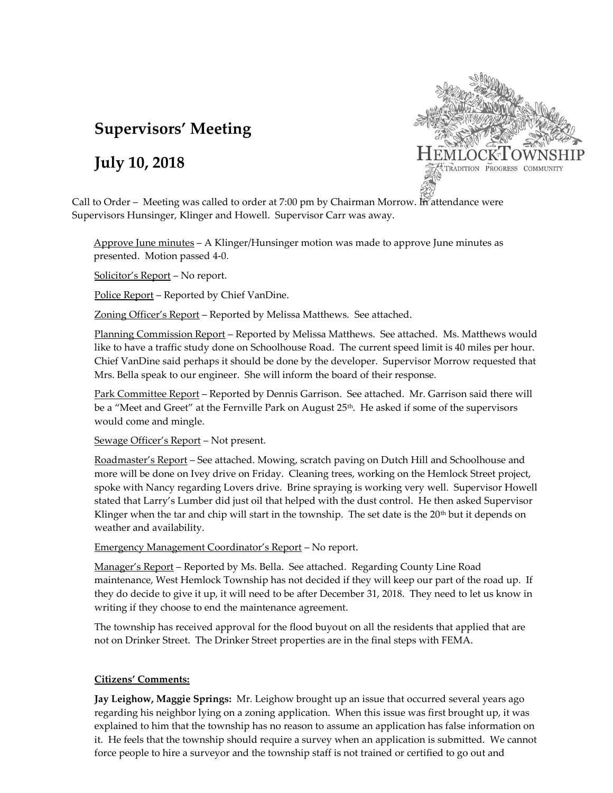# **Supervisors' Meeting**

# **July 10, 2018**



Call to Order – Meeting was called to order at 7:00 pm by Chairman Morrow. In attendance were Supervisors Hunsinger, Klinger and Howell. Supervisor Carr was away.

Approve June minutes – A Klinger/Hunsinger motion was made to approve June minutes as presented. Motion passed 4-0.

Solicitor's Report – No report.

Police Report – Reported by Chief VanDine.

Zoning Officer's Report – Reported by Melissa Matthews. See attached.

Planning Commission Report – Reported by Melissa Matthews. See attached. Ms. Matthews would like to have a traffic study done on Schoolhouse Road. The current speed limit is 40 miles per hour. Chief VanDine said perhaps it should be done by the developer. Supervisor Morrow requested that Mrs. Bella speak to our engineer. She will inform the board of their response.

Park Committee Report – Reported by Dennis Garrison. See attached. Mr. Garrison said there will be a "Meet and Greet" at the Fernville Park on August 25<sup>th</sup>. He asked if some of the supervisors would come and mingle.

Sewage Officer's Report – Not present.

Roadmaster's Report – See attached. Mowing, scratch paving on Dutch Hill and Schoolhouse and more will be done on Ivey drive on Friday. Cleaning trees, working on the Hemlock Street project, spoke with Nancy regarding Lovers drive. Brine spraying is working very well. Supervisor Howell stated that Larry's Lumber did just oil that helped with the dust control. He then asked Supervisor Klinger when the tar and chip will start in the township. The set date is the  $20<sup>th</sup>$  but it depends on weather and availability.

Emergency Management Coordinator's Report – No report.

Manager's Report – Reported by Ms. Bella. See attached. Regarding County Line Road maintenance, West Hemlock Township has not decided if they will keep our part of the road up. If they do decide to give it up, it will need to be after December 31, 2018. They need to let us know in writing if they choose to end the maintenance agreement.

The township has received approval for the flood buyout on all the residents that applied that are not on Drinker Street. The Drinker Street properties are in the final steps with FEMA.

## **Citizens' Comments:**

**Jay Leighow, Maggie Springs:** Mr. Leighow brought up an issue that occurred several years ago regarding his neighbor lying on a zoning application. When this issue was first brought up, it was explained to him that the township has no reason to assume an application has false information on it. He feels that the township should require a survey when an application is submitted. We cannot force people to hire a surveyor and the township staff is not trained or certified to go out and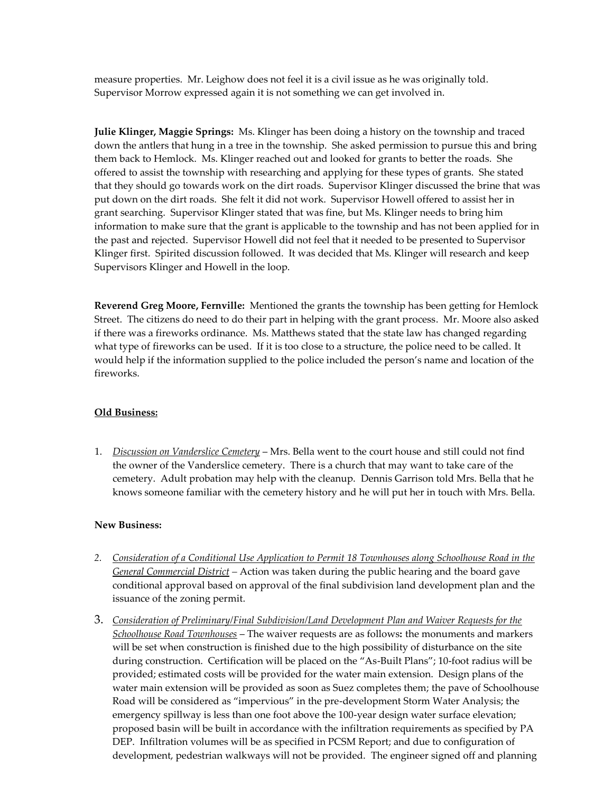measure properties. Mr. Leighow does not feel it is a civil issue as he was originally told. Supervisor Morrow expressed again it is not something we can get involved in.

**Julie Klinger, Maggie Springs:** Ms. Klinger has been doing a history on the township and traced down the antlers that hung in a tree in the township. She asked permission to pursue this and bring them back to Hemlock. Ms. Klinger reached out and looked for grants to better the roads. She offered to assist the township with researching and applying for these types of grants. She stated that they should go towards work on the dirt roads. Supervisor Klinger discussed the brine that was put down on the dirt roads. She felt it did not work. Supervisor Howell offered to assist her in grant searching. Supervisor Klinger stated that was fine, but Ms. Klinger needs to bring him information to make sure that the grant is applicable to the township and has not been applied for in the past and rejected. Supervisor Howell did not feel that it needed to be presented to Supervisor Klinger first. Spirited discussion followed. It was decided that Ms. Klinger will research and keep Supervisors Klinger and Howell in the loop.

**Reverend Greg Moore, Fernville:** Mentioned the grants the township has been getting for Hemlock Street. The citizens do need to do their part in helping with the grant process. Mr. Moore also asked if there was a fireworks ordinance. Ms. Matthews stated that the state law has changed regarding what type of fireworks can be used. If it is too close to a structure, the police need to be called. It would help if the information supplied to the police included the person's name and location of the fireworks.

#### **Old Business:**

1. *Discussion on Vanderslice Cemetery* – Mrs. Bella went to the court house and still could not find the owner of the Vanderslice cemetery. There is a church that may want to take care of the cemetery. Adult probation may help with the cleanup. Dennis Garrison told Mrs. Bella that he knows someone familiar with the cemetery history and he will put her in touch with Mrs. Bella.

#### **New Business:**

- *2. Consideration of a Conditional Use Application to Permit 18 Townhouses along Schoolhouse Road in the General Commercial District –* Action was taken during the public hearing and the board gave conditional approval based on approval of the final subdivision land development plan and the issuance of the zoning permit.
- 3. *Consideration of Preliminary/Final Subdivision/Land Development Plan and Waiver Requests for the Schoolhouse Road Townhouses* – The waiver requests are as follows**:** the monuments and markers will be set when construction is finished due to the high possibility of disturbance on the site during construction. Certification will be placed on the "As-Built Plans"; 10-foot radius will be provided; estimated costs will be provided for the water main extension. Design plans of the water main extension will be provided as soon as Suez completes them; the pave of Schoolhouse Road will be considered as "impervious" in the pre-development Storm Water Analysis; the emergency spillway is less than one foot above the 100-year design water surface elevation; proposed basin will be built in accordance with the infiltration requirements as specified by PA DEP. Infiltration volumes will be as specified in PCSM Report; and due to configuration of development, pedestrian walkways will not be provided. The engineer signed off and planning